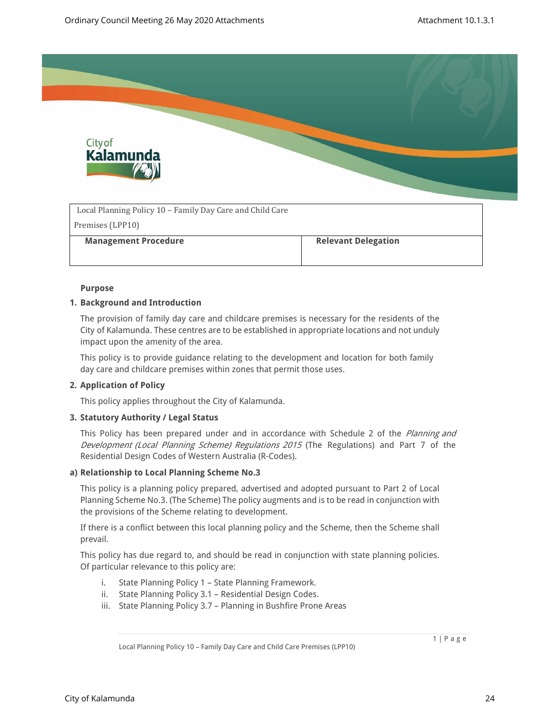

| Local Planning Policy 10 – Family Day Care and Child Care |                            |
|-----------------------------------------------------------|----------------------------|
| Premises (LPP10)                                          |                            |
| <b>Management Procedure</b>                               | <b>Relevant Delegation</b> |
|                                                           |                            |

#### **Purpose**

#### **1. Background and Introduction**

The provision of family day care and childcare premises is necessary for the residents of the City of Kalamunda. These centres are to be established in appropriate locations and not unduly impact upon the amenity of the area.

This policy is to provide guidance relating to the development and location for both family day care and childcare premises within zones that permit those uses.

# **2. Application of Policy**

This policy applies throughout the City of Kalamunda.

# **3. Statutory Authority / Legal Status**

This Policy has been prepared under and in accordance with Schedule 2 of the *Planning and Development (Local Planning Scheme) Regulations 2015* (The Regulations) and Part 7 of the Residential Design Codes of Western Australia (R-Codes).

# **a) Relationship to Local Planning Scheme No.3**

This policy is a planning policy prepared, advertised and adopted pursuant to Part 2 of Local Planning Scheme No.3. (The Scheme) The policy augments and is to be read in conjunction with the provisions of the Scheme relating to development.

If there is a conflict between this local planning policy and the Scheme, then the Scheme shall prevail.

This policy has due regard to, and should be read in conjunction with state planning policies. Of particular relevance to this policy are:

- i. State Planning Policy 1 State Planning Framework.
- ii. State Planning Policy 3.1 Residential Design Codes.
- iii. State Planning Policy 3.7 Planning in Bushfire Prone Areas

Local Planning Policy 10 – Family Day Care and Child Care Premises (LPP10)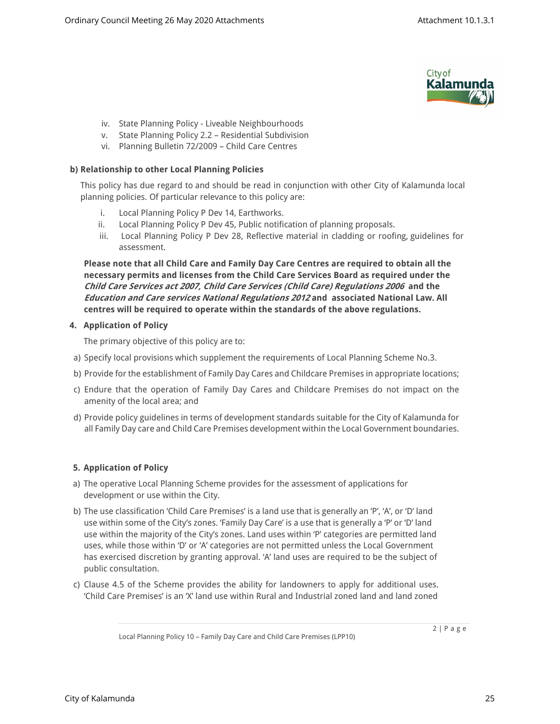

- iv. State Planning Policy Liveable Neighbourhoods
- v. State Planning Policy 2.2 Residential Subdivision
- vi. Planning Bulletin 72/2009 Child Care Centres

# **b) Relationship to other Local Planning Policies**

This policy has due regard to and should be read in conjunction with other City of Kalamunda local planning policies. Of particular relevance to this policy are:

- i. Local Planning Policy P Dev 14, Earthworks.
- ii. Local Planning Policy P Dev 45, Public notification of planning proposals.
- iii. Local Planning Policy P Dev 28, Reflective material in cladding or roofing, guidelines for assessment.

**Please note that all Child Care and Family Day Care Centres are required to obtain all the necessary permits and licenses from the Child Care Services Board as required under the**  *Child Care Services act 2007, Child Care Services (Child Care) Regulations 2006* **and the**  *Education and Care services National Regulations 2012* **and associated National Law. All centres will be required to operate within the standards of the above regulations.**

# **4. Application of Policy**

The primary objective of this policy are to:

- a) Specify local provisions which supplement the requirements of Local Planning Scheme No.3.
- b) Provide for the establishment of Family Day Cares and Childcare Premises in appropriate locations;
- c) Endure that the operation of Family Day Cares and Childcare Premises do not impact on the amenity of the local area; and
- d) Provide policy guidelines in terms of development standards suitable for the City of Kalamunda for all Family Day care and Child Care Premises development within the Local Government boundaries.

# **5. Application of Policy**

- a) The operative Local Planning Scheme provides for the assessment of applications for development or use within the City.
- b) The use classification 'Child Care Premises' is a land use that is generally an 'P', 'A', or 'D' land use within some of the City's zones. 'Family Day Care' is a use that is generally a 'P' or 'D' land use within the majority of the City's zones. Land uses within 'P' categories are permitted land uses, while those within 'D' or 'A' categories are not permitted unless the Local Government has exercised discretion by granting approval. 'A' land uses are required to be the subject of public consultation.
- c) Clause 4.5 of the Scheme provides the ability for landowners to apply for additional uses. 'Child Care Premises' is an 'X' land use within Rural and Industrial zoned land and land zoned

Local Planning Policy 10 – Family Day Care and Child Care Premises (LPP10)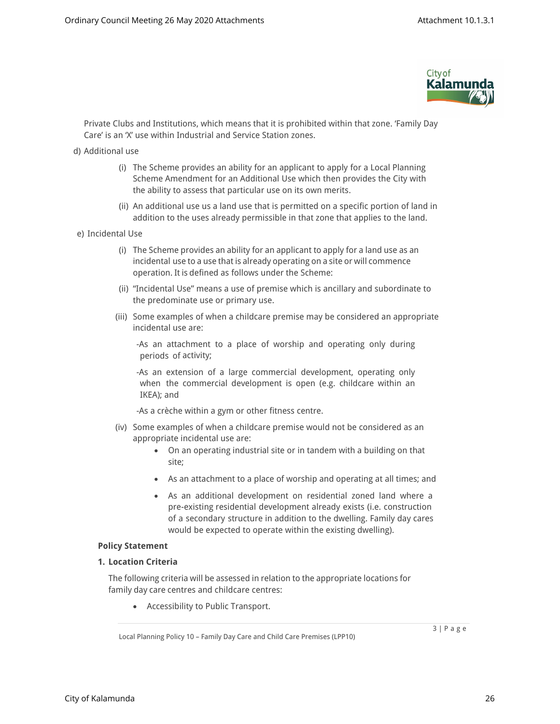

Private Clubs and Institutions, which means that it is prohibited within that zone. 'Family Day Care' is an 'X' use within Industrial and Service Station zones.

- d) Additional use
	- (i) The Scheme provides an ability for an applicant to apply for a Local Planning Scheme Amendment for an Additional Use which then provides the City with the ability to assess that particular use on its own merits.
	- (ii) An additional use us a land use that is permitted on a specific portion of land in addition to the uses already permissible in that zone that applies to the land.
- e) Incidental Use
	- (i) The Scheme provides an ability for an applicant to apply for a land use as an incidental use to a use that is already operating on a site or will commence operation. It is defined as follows under the Scheme:
	- (ii) "Incidental Use" means a use of premise which is ancillary and subordinate to the predominate use or primary use.
	- (iii) Some examples of when a childcare premise may be considered an appropriate incidental use are:

-As an attachment to a place of worship and operating only during periods of activity;

-As an extension of a large commercial development, operating only when the commercial development is open (e.g. childcare within an IKEA); and

-As a crèche within a gym or other fitness centre.

- (iv) Some examples of when a childcare premise would not be considered as an appropriate incidental use are:
	- On an operating industrial site or in tandem with a building on that site;
	- As an attachment to a place of worship and operating at all times; and
	- As an additional development on residential zoned land where a pre-existing residential development already exists (i.e. construction of a secondary structure in addition to the dwelling. Family day cares would be expected to operate within the existing dwelling).

#### **Policy Statement**

# **1. Location Criteria**

The following criteria will be assessed in relation to the appropriate locations for family day care centres and childcare centres:

Accessibility to Public Transport.

Local Planning Policy 10 – Family Day Care and Child Care Premises (LPP10)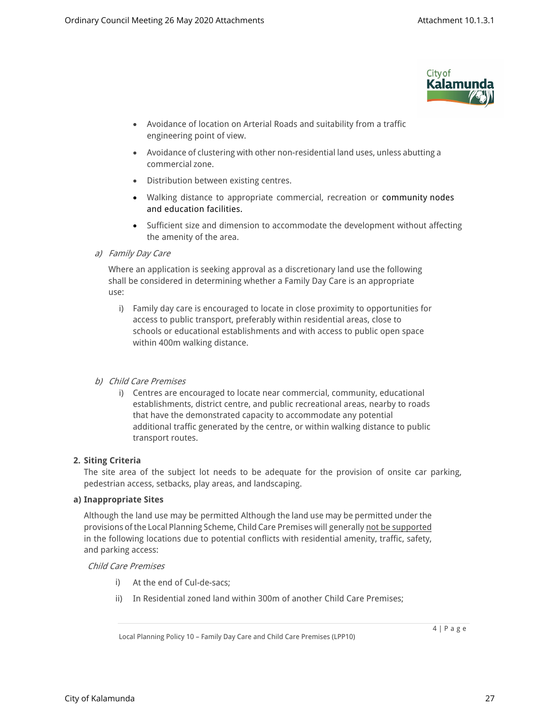

- Avoidance of location on Arterial Roads and suitability from a traffic engineering point of view.
- Avoidance of clustering with other non-residential land uses, unless abutting a commercial zone.
- Distribution between existing centres.
- Walking distance to appropriate commercial, recreation or community nodes and education facilities.
- Sufficient size and dimension to accommodate the development without affecting the amenity of the area.

*a) Family Day Care*

Where an application is seeking approval as a discretionary land use the following shall be considered in determining whether a Family Day Care is an appropriate use:

i) Family day care is encouraged to locate in close proximity to opportunities for access to public transport, preferably within residential areas, close to schools or educational establishments and with access to public open space within 400m walking distance.

# *b) Child Care Premises*

i) Centres are encouraged to locate near commercial, community, educational establishments, district centre, and public recreational areas, nearby to roads that have the demonstrated capacity to accommodate any potential additional traffic generated by the centre, or within walking distance to public transport routes.

# **2. Siting Criteria**

The site area of the subject lot needs to be adequate for the provision of onsite car parking, pedestrian access, setbacks, play areas, and landscaping.

# **a) Inappropriate Sites**

Although the land use may be permitted Although the land use may be permitted under the provisions of the Local Planning Scheme, Child Care Premises will generally not be supported in the following locations due to potential conflicts with residential amenity, traffic, safety, and parking access:

# *Child Care Premises*

- i) At the end of Cul-de-sacs;
- ii) In Residential zoned land within 300m of another Child Care Premises;

Local Planning Policy 10 – Family Day Care and Child Care Premises (LPP10)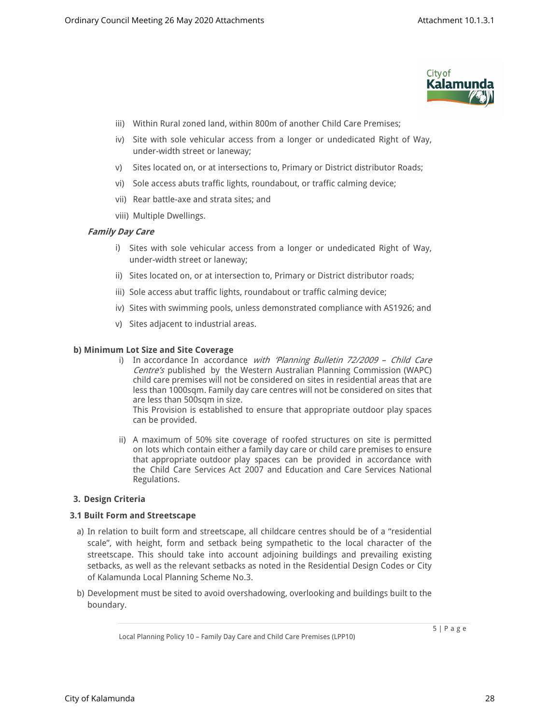

- iii) Within Rural zoned land, within 800m of another Child Care Premises;
- iv) Site with sole vehicular access from a longer or undedicated Right of Way, under-width street or laneway;
- v) Sites located on, or at intersections to, Primary or District distributor Roads;
- vi) Sole access abuts traffic lights, roundabout, or traffic calming device;
- vii) Rear battle-axe and strata sites; and
- viii) Multiple Dwellings.

# *Family Day Care*

- i) Sites with sole vehicular access from a longer or undedicated Right of Way, under-width street or laneway;
- ii) Sites located on, or at intersection to, Primary or District distributor roads;
- iii) Sole access abut traffic lights, roundabout or traffic calming device;
- iv) Sites with swimming pools, unless demonstrated compliance with AS1926; and
- v) Sites adjacent to industrial areas.

#### **b) Minimum Lot Size and Site Coverage**

i) In accordance In accordance *with 'Planning Bulletin 72/2009 – Child Care Centre's* published by the Western Australian Planning Commission (WAPC) child care premises will not be considered on sites in residential areas that are less than 1000sqm. Family day care centres will not be considered on sites that are less than 500sqm in size.

This Provision is established to ensure that appropriate outdoor play spaces can be provided.

ii) A maximum of 50% site coverage of roofed structures on site is permitted on lots which contain either a family day care or child care premises to ensure that appropriate outdoor play spaces can be provided in accordance with the Child Care Services Act 2007 and Education and Care Services National Regulations.

# **3. Design Criteria**

#### **3.1 Built Form and Streetscape**

- a) In relation to built form and streetscape, all childcare centres should be of a "residential scale", with height, form and setback being sympathetic to the local character of the streetscape. This should take into account adjoining buildings and prevailing existing setbacks, as well as the relevant setbacks as noted in the Residential Design Codes or City of Kalamunda Local Planning Scheme No.3.
- b) Development must be sited to avoid overshadowing, overlooking and buildings built to the boundary.

Local Planning Policy 10 – Family Day Care and Child Care Premises (LPP10)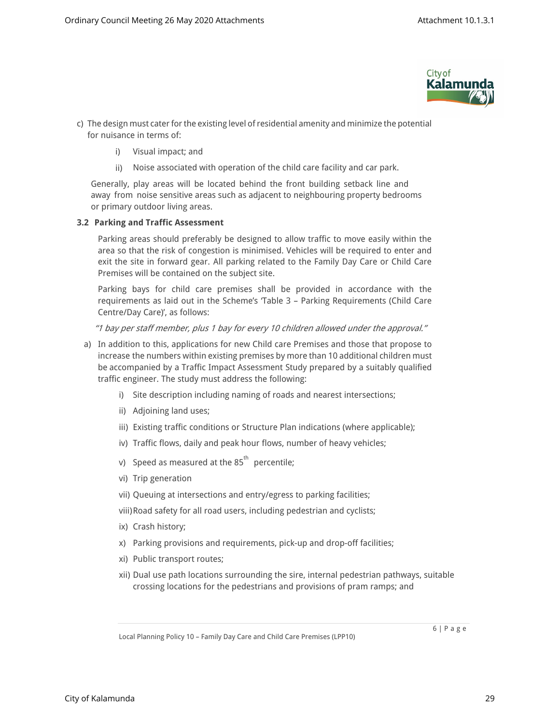

- c) The design must cater for the existing level of residential amenity and minimize the potential for nuisance in terms of:
	- i) Visual impact; and
	- ii) Noise associated with operation of the child care facility and car park.

Generally, play areas will be located behind the front building setback line and away from noise sensitive areas such as adjacent to neighbouring property bedrooms or primary outdoor living areas.

# **3.2 Parking and Traffic Assessment**

Parking areas should preferably be designed to allow traffic to move easily within the area so that the risk of congestion is minimised. Vehicles will be required to enter and exit the site in forward gear. All parking related to the Family Day Care or Child Care Premises will be contained on the subject site.

Parking bays for child care premises shall be provided in accordance with the requirements as laid out in the Scheme's 'Table 3 – Parking Requirements (Child Care Centre/Day Care)', as follows:

*"1 bay per staff member, plus 1 bay for every 10 children allowed under the approval."*

- a) In addition to this, applications for new Child care Premises and those that propose to increase the numbers within existing premises by more than 10 additional children must be accompanied by a Traffic Impact Assessment Study prepared by a suitably qualified traffic engineer. The study must address the following:
	- i) Site description including naming of roads and nearest intersections;
	- ii) Adjoining land uses;
	- iii) Existing traffic conditions or Structure Plan indications (where applicable);
	- iv) Traffic flows, daily and peak hour flows, number of heavy vehicles;
	- v) Speed as measured at the 85<sup>th</sup> percentile;
	- vi) Trip generation
	- vii) Queuing at intersections and entry/egress to parking facilities;
	- viii)Road safety for all road users, including pedestrian and cyclists;
	- ix) Crash history;
	- x) Parking provisions and requirements, pick-up and drop-off facilities;
	- xi) Public transport routes;
	- xii) Dual use path locations surrounding the sire, internal pedestrian pathways, suitable crossing locations for the pedestrians and provisions of pram ramps; and

Local Planning Policy 10 – Family Day Care and Child Care Premises (LPP10)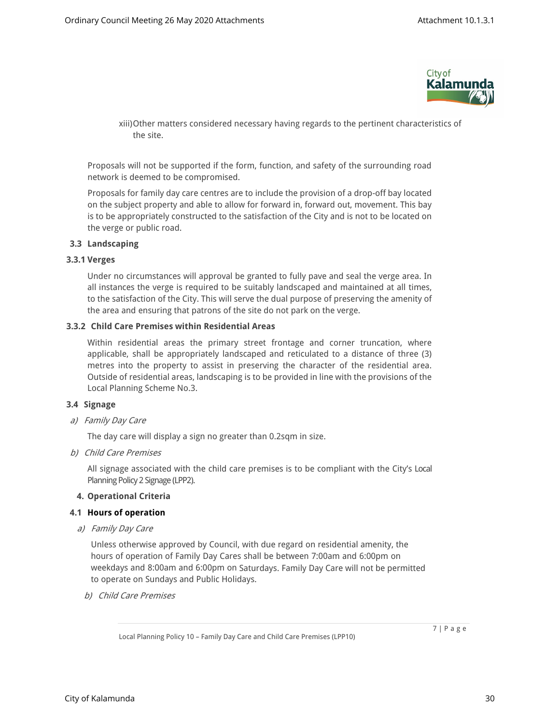

xiii)Other matters considered necessary having regards to the pertinent characteristics of the site.

Proposals will not be supported if the form, function, and safety of the surrounding road network is deemed to be compromised.

Proposals for family day care centres are to include the provision of a drop-off bay located on the subject property and able to allow for forward in, forward out, movement. This bay is to be appropriately constructed to the satisfaction of the City and is not to be located on the verge or public road.

#### **3.3 Landscaping**

#### **3.3.1 Verges**

Under no circumstances will approval be granted to fully pave and seal the verge area. In all instances the verge is required to be suitably landscaped and maintained at all times, to the satisfaction of the City. This will serve the dual purpose of preserving the amenity of the area and ensuring that patrons of the site do not park on the verge.

#### **3.3.2 Child Care Premises within Residential Areas**

Within residential areas the primary street frontage and corner truncation, where applicable, shall be appropriately landscaped and reticulated to a distance of three (3) metres into the property to assist in preserving the character of the residential area. Outside of residential areas, landscaping is to be provided in line with the provisions of the Local Planning Scheme No.3.

# **3.4 Signage**

*a) Family Day Care*

The day care will display a sign no greater than 0.2sqm in size.

*b) Child Care Premises*

All signage associated with the child care premises is to be compliant with the City's Local Planning Policy 2 Signage (LPP2).

# **4. Operational Criteria**

#### **4.1 Hours of operation**

*a) Family Day Care*

Unless otherwise approved by Council, with due regard on residential amenity, the hours of operation of Family Day Cares shall be between 7:00am and 6:00pm on weekdays and 8:00am and 6:00pm on Saturdays. Family Day Care will not be permitted to operate on Sundays and Public Holidays.

*b) Child Care Premises*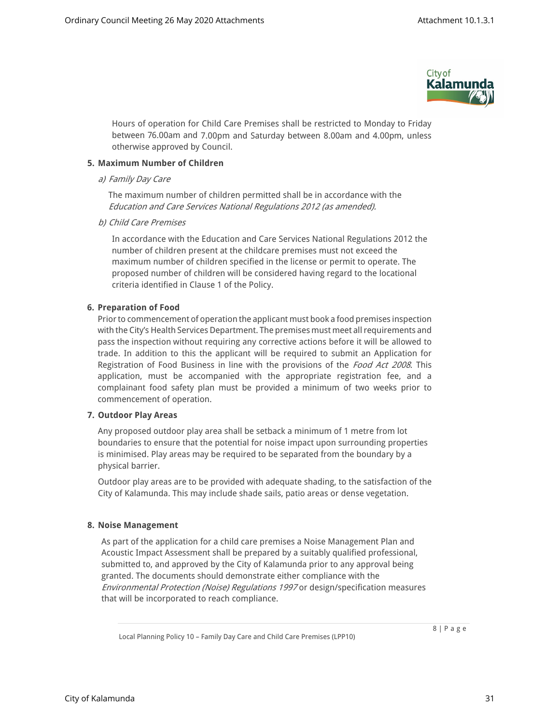

Hours of operation for Child Care Premises shall be restricted to Monday to Friday between 76.00am and 7.00pm and Saturday between 8.00am and 4.00pm, unless otherwise approved by Council.

# **5. Maximum Number of Children**

#### *a) Family Day Care*

The maximum number of children permitted shall be in accordance with the *Education and Care Services National Regulations 2012 (as amended).*

*b) Child Care Premises*

In accordance with the Education and Care Services National Regulations 2012 the number of children present at the childcare premises must not exceed the maximum number of children specified in the license or permit to operate. The proposed number of children will be considered having regard to the locational criteria identified in Clause 1 of the Policy.

# **6. Preparation of Food**

Prior to commencement of operation the applicant must book a food premises inspection with the City's Health Services Department. The premises must meet all requirements and pass the inspection without requiring any corrective actions before it will be allowed to trade. In addition to this the applicant will be required to submit an Application for Registration of Food Business in line with the provisions of the *Food Act 2008*. This application, must be accompanied with the appropriate registration fee, and a complainant food safety plan must be provided a minimum of two weeks prior to commencement of operation.

# **7. Outdoor Play Areas**

Any proposed outdoor play area shall be setback a minimum of 1 metre from lot boundaries to ensure that the potential for noise impact upon surrounding properties is minimised. Play areas may be required to be separated from the boundary by a physical barrier.

Outdoor play areas are to be provided with adequate shading, to the satisfaction of the City of Kalamunda. This may include shade sails, patio areas or dense vegetation.

# **8. Noise Management**

As part of the application for a child care premises a Noise Management Plan and Acoustic Impact Assessment shall be prepared by a suitably qualified professional, submitted to, and approved by the City of Kalamunda prior to any approval being granted. The documents should demonstrate either compliance with the *Environmental Protection (Noise) Regulations 1997* or design/specification measures that will be incorporated to reach compliance.

Local Planning Policy 10 – Family Day Care and Child Care Premises (LPP10)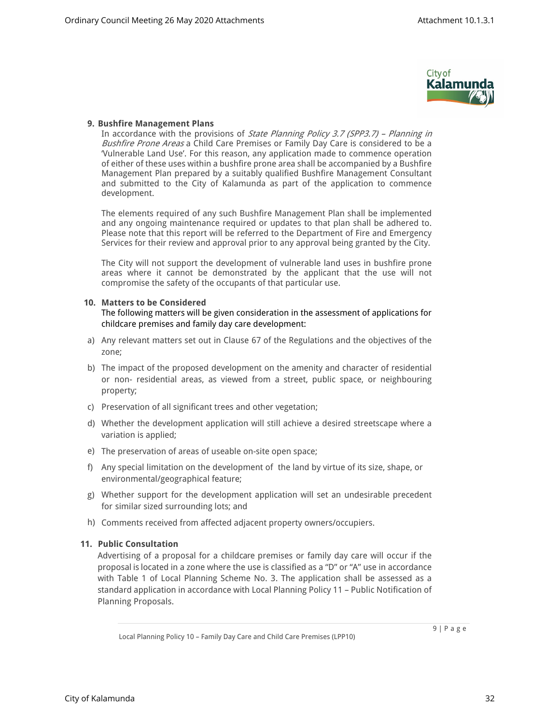

# **9. Bushfire Management Plans**

In accordance with the provisions of *State Planning Policy 3.7 (SPP3.7) – Planning in Bushfire Prone Areas* a Child Care Premises or Family Day Care is considered to be a 'Vulnerable Land Use'. For this reason, any application made to commence operation of either of these uses within a bushfire prone area shall be accompanied by a Bushfire Management Plan prepared by a suitably qualified Bushfire Management Consultant and submitted to the City of Kalamunda as part of the application to commence development.

The elements required of any such Bushfire Management Plan shall be implemented and any ongoing maintenance required or updates to that plan shall be adhered to. Please note that this report will be referred to the Department of Fire and Emergency Services for their review and approval prior to any approval being granted by the City.

The City will not support the development of vulnerable land uses in bushfire prone areas where it cannot be demonstrated by the applicant that the use will not compromise the safety of the occupants of that particular use.

# **10. Matters to be Considered**

The following matters will be given consideration in the assessment of applications for childcare premises and family day care development:

- a) Any relevant matters set out in Clause 67 of the Regulations and the objectives of the zone;
- b) The impact of the proposed development on the amenity and character of residential or non- residential areas, as viewed from a street, public space, or neighbouring property;
- c) Preservation of all significant trees and other vegetation;
- d) Whether the development application will still achieve a desired streetscape where a variation is applied;
- e) The preservation of areas of useable on-site open space;
- f) Any special limitation on the development of the land by virtue of its size, shape, or environmental/geographical feature;
- g) Whether support for the development application will set an undesirable precedent for similar sized surrounding lots; and
- h) Comments received from affected adjacent property owners/occupiers.

# **11. Public Consultation**

Advertising of a proposal for a childcare premises or family day care will occur if the proposal is located in a zone where the use is classified as a "D" or "A" use in accordance with Table 1 of Local Planning Scheme No. 3. The application shall be assessed as a standard application in accordance with Local Planning Policy 11 – Public Notification of Planning Proposals.

Local Planning Policy 10 – Family Day Care and Child Care Premises (LPP10)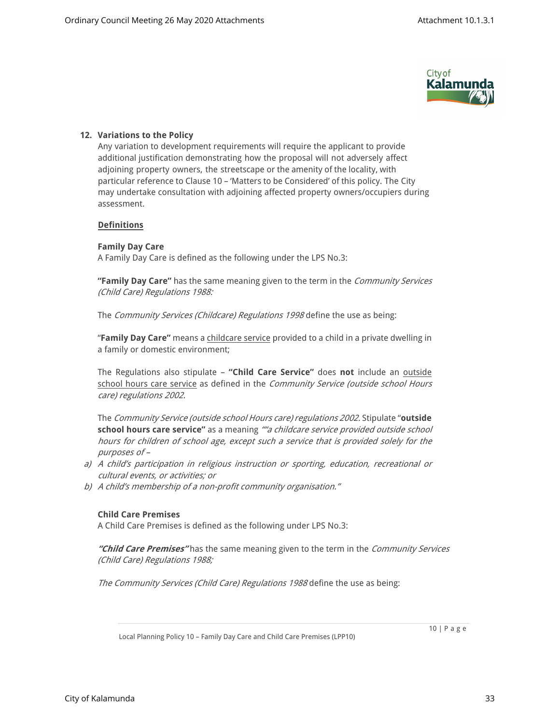

# **12. Variations to the Policy**

Any variation to development requirements will require the applicant to provide additional justification demonstrating how the proposal will not adversely affect adjoining property owners, the streetscape or the amenity of the locality, with particular reference to Clause 10 – 'Matters to be Considered' of this policy. The City may undertake consultation with adjoining affected property owners/occupiers during assessment.

# **Definitions**

# **Family Day Care**

A Family Day Care is defined as the following under the LPS No.3:

**"Family Day Care"** has the same meaning given to the term in the *Community Services (Child Care) Regulations 1988:*

The *Community Services (Childcare) Regulations 1998* define the use as being:

"**Family Day Care"** means a childcare service provided to a child in a private dwelling in a family or domestic environment;

The Regulations also stipulate – **"Child Care Service"** does **not** include an outside school hours care service as defined in the *Community Service (outside school Hours care) regulations 2002.*

The *Community Service (outside school Hours care) regulations 2002.* Stipulate "**outside school hours care service"** as a meaning *""a childcare service provided outside school hours for children of school age, except such a service that is provided solely for the purposes of –* 

- *a) A child's participation in religious instruction or sporting, education, recreational or cultural events, or activities; or*
- *b) A child's membership of a non-profit community organisation."*

# **Child Care Premises**

A Child Care Premises is defined as the following under LPS No.3:

*"Child Care Premises"* has the same meaning given to the term in the *Community Services (Child Care) Regulations 1988;*

*The Community Services (Child Care) Regulations 1988* define the use as being:

10 | P a g e

Local Planning Policy 10 – Family Day Care and Child Care Premises (LPP10)